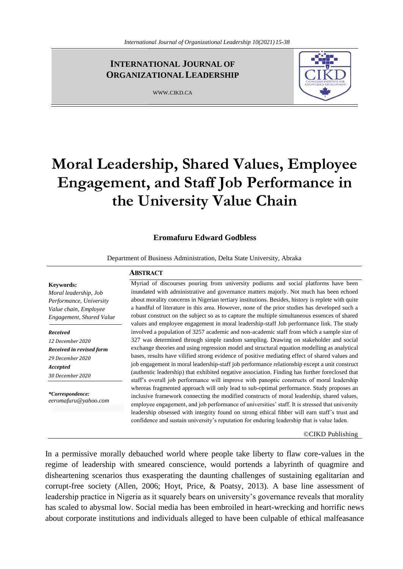# **INTERNATIONAL JOURNAL OF ORGANIZATIONAL LEADERSHIP**

WWW.CIKD.CA



# **Moral Leadership, Shared Values, Employee Engagement, and Staff Job Performance in the University Value Chain**

#### **Eromafuru Edward Godbless**

Department of Business Administration, Delta State University, Abraka

# **ABSTRACT**

**Keywords:**  *Moral leadership, Job Performance, University Value chain, Employee Engagement, Shared Value*

*Received 12 December 2020 Received in revised form 29 December 2020 Accepted 30 December 2020*

*\*Correspondence: eeromafuru@yahoo.com* Myriad of discourses pouring from university podiums and social platforms have been inundated with administrative and governance matters majorly. Not much has been echoed about morality concerns in Nigerian tertiary institutions. Besides, history is replete with quite a handful of literature in this area. However, none of the prior studies has developed such a robust construct on the subject so as to capture the multiple simultaneous essences of shared values and employee engagement in moral leadership-staff Job performance link. The study involved a population of 3257 academic and non-academic staff from which a sample size of 327 was determined through simple random sampling. Drawing on stakeholder and social exchange theories and using regression model and structural equation modelling as analytical bases, results have vilified strong evidence of positive mediating effect of shared values and job engagement in moral leadership-staff job performance relationship except a unit construct (authentic leadership) that exhibited negative association. Finding has further foreclosed that staff's overall job performance will improve with panoptic constructs of moral leadership whereas fragmented approach will only lead to sub-optimal performance. Study proposes an inclusive framework connecting the modified constructs of moral leadership, shared values, employee engagement, and job performance of universities' staff. It is stressed that university leadership obsessed with integrity found on strong ethical fibber will earn staff's trust and confidence and sustain university's reputation for enduring leadership that is value laden.

©CIKD Publishing

In a permissive morally debauched world where people take liberty to flaw core-values in the regime of leadership with smeared conscience, would portends a labyrinth of quagmire and disheartening scenarios thus exasperating the daunting challenges of sustaining egalitarian and corrupt-free society (Allen, 2006; Hoyt, Price, & Poatsy, 2013). A base line assessment of leadership practice in Nigeria as it squarely bears on university's governance reveals that morality has scaled to abysmal low. Social media has been embroiled in heart-wrecking and horrific news about corporate institutions and individuals alleged to have been culpable of ethical malfeasance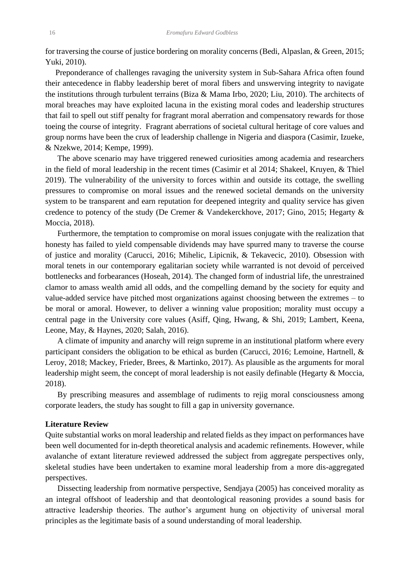for traversing the course of justice bordering on morality concerns (Bedi, Alpaslan, & Green, 2015; Yuki, 2010).

 Preponderance of challenges ravaging the university system in Sub-Sahara Africa often found their antecedence in flabby leadership beret of moral fibers and unswerving integrity to navigate the institutions through turbulent terrains (Biza & Mama Irbo, 2020; Liu, 2010). The architects of moral breaches may have exploited lacuna in the existing moral codes and leadership structures that fail to spell out stiff penalty for fragrant moral aberration and compensatory rewards for those toeing the course of integrity. Fragrant aberrations of societal cultural heritage of core values and group norms have been the crux of leadership challenge in Nigeria and diaspora (Casimir, Izueke, & Nzekwe, 2014; Kempe, 1999).

The above scenario may have triggered renewed curiosities among academia and researchers in the field of moral leadership in the recent times (Casimir et al 2014; Shakeel, Kruyen, & Thiel 2019). The vulnerability of the university to forces within and outside its cottage, the swelling pressures to compromise on moral issues and the renewed societal demands on the university system to be transparent and earn reputation for deepened integrity and quality service has given credence to potency of the study (De Cremer & Vandekerckhove, 2017; Gino, 2015; Hegarty & Moccia, 2018).

Furthermore, the temptation to compromise on moral issues conjugate with the realization that honesty has failed to yield compensable dividends may have spurred many to traverse the course of justice and morality (Carucci, 2016; Mihelic, Lipicnik, & Tekavecic, 2010). Obsession with moral tenets in our contemporary egalitarian society while warranted is not devoid of perceived bottlenecks and forbearances (Hoseah, 2014). The changed form of industrial life, the unrestrained clamor to amass wealth amid all odds, and the compelling demand by the society for equity and value-added service have pitched most organizations against choosing between the extremes – to be moral or amoral. However, to deliver a winning value proposition; morality must occupy a central page in the University core values (Asiff, Qing, Hwang, & Shi, 2019; Lambert, Keena, Leone, May, & Haynes, 2020; Salah, 2016).

A climate of impunity and anarchy will reign supreme in an institutional platform where every participant considers the obligation to be ethical as burden (Carucci, 2016; Lemoine, Hartnell, & Leroy, 2018; Mackey, Frieder, Brees, & Martinko, 2017). As plausible as the arguments for moral leadership might seem, the concept of moral leadership is not easily definable (Hegarty & Moccia, 2018).

By prescribing measures and assemblage of rudiments to rejig moral consciousness among corporate leaders, the study has sought to fill a gap in university governance.

#### **Literature Review**

Quite substantial works on moral leadership and related fields as they impact on performances have been well documented for in-depth theoretical analysis and academic refinements. However, while avalanche of extant literature reviewed addressed the subject from aggregate perspectives only, skeletal studies have been undertaken to examine moral leadership from a more dis-aggregated perspectives.

Dissecting leadership from normative perspective, Sendjaya (2005) has conceived morality as an integral offshoot of leadership and that deontological reasoning provides a sound basis for attractive leadership theories. The author's argument hung on objectivity of universal moral principles as the legitimate basis of a sound understanding of moral leadership.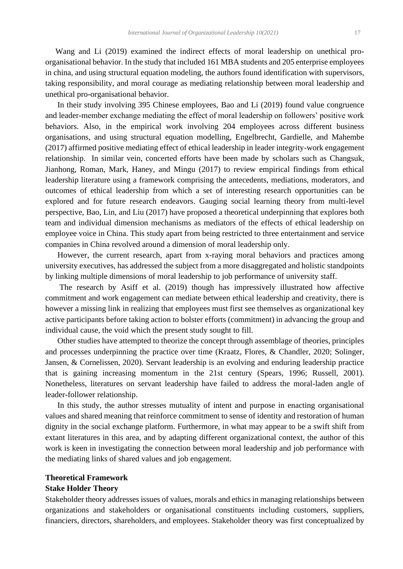Wang and Li (2019) examined the indirect effects of moral leadership on unethical proorganisational behavior. In the study that included 161 MBA students and 205 enterprise employees in china, and using structural equation modeling, the authors found identification with supervisors, taking responsibility, and moral courage as mediating relationship between moral leadership and unethical pro-organisational behavior.

In their study involving 395 Chinese employees, Bao and Li (2019) found value congruence and leader-member exchange mediating the effect of moral leadership on followers' positive work behaviors. Also, in the empirical work involving 204 employees across different business organisations, and using structural equation modelling, Engelbrecht, Gardielle, and Mahembe (2017) affirmed positive mediating effect of ethical leadership in leader integrity-work engagement relationship. In similar vein, concerted efforts have been made by scholars such as Changsuk, Jianhong, Roman, Mark, Haney, and Mingu (2017) to review empirical findings from ethical leadership literature using a framework comprising the antecedents, mediations, moderators, and outcomes of ethical leadership from which a set of interesting research opportunities can be explored and for future research endeavors. Gauging social learning theory from multi-level perspective, Bao, Lin, and Liu (2017) have proposed a theoretical underpinning that explores both team and individual dimension mechanisms as mediators of the effects of ethical leadership on employee voice in China. This study apart from being restricted to three entertainment and service companies in China revolved around a dimension of moral leadership only.

However, the current research, apart from x-raying moral behaviors and practices among university executives, has addressed the subject from a more disaggregated and holistic standpoints by linking multiple dimensions of moral leadership to job performance of university staff.

The research by Asiff et al. (2019) though has impressively illustrated how affective commitment and work engagement can mediate between ethical leadership and creativity, there is however a missing link in realizing that employees must first see themselves as organizational key active participants before taking action to bolster efforts (commitment) in advancing the group and individual cause, the void which the present study sought to fill.

Other studies have attempted to theorize the concept through assemblage of theories, principles and processes underpinning the practice over time (Kraatz, Flores, & Chandler, 2020; Solinger, Jansen, & Cornelissen, 2020). Servant leadership is an evolving and enduring leadership practice that is gaining increasing momentum in the 21st century (Spears, 1996; Russell, 2001). Nonetheless, literatures on servant leadership have failed to address the moral-laden angle of leader-follower relationship.

In this study, the author stresses mutuality of intent and purpose in enacting organisational values and shared meaning that reinforce commitment to sense of identity and restoration of human dignity in the social exchange platform. Furthermore, in what may appear to be a swift shift from extant literatures in this area, and by adapting different organizational context, the author of this work is keen in investigating the connection between moral leadership and job performance with the mediating links of shared values and job engagement.

# **Theoretical Framework**

# **Stake Holder Theory**

Stakeholder theory addresses issues of values, morals and ethics in managing relationships between organizations and stakeholders or organisational constituents including customers, suppliers, financiers, directors, shareholders, and employees. Stakeholder theory was first conceptualized by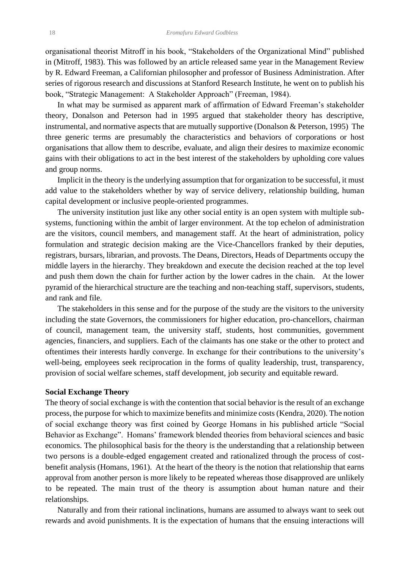organisational theorist Mitroff in his book, "Stakeholders of the Organizational Mind" published in (Mitroff, 1983). This was followed by an article released same year in the Management Review by R. Edward Freeman, a Californian philosopher and professor of Business Administration. After series of rigorous research and discussions at Stanford Research Institute, he went on to publish his book, "Strategic Management: A Stakeholder Approach" (Freeman, 1984).

In what may be surmised as apparent mark of affirmation of Edward Freeman's stakeholder theory, Donalson and Peterson had in 1995 argued that stakeholder theory has descriptive, instrumental, and normative aspects that are mutually supportive (Donalson & Peterson, 1995) The three generic terms are presumably the characteristics and behaviors of corporations or host organisations that allow them to describe, evaluate, and align their desires to maximize economic gains with their obligations to act in the best interest of the stakeholders by upholding core values and group norms.

Implicit in the theory is the underlying assumption that for organization to be successful, it must add value to the stakeholders whether by way of service delivery, relationship building, human capital development or inclusive people-oriented programmes.

The university institution just like any other social entity is an open system with multiple subsystems, functioning within the ambit of larger environment. At the top echelon of administration are the visitors, council members, and management staff. At the heart of administration, policy formulation and strategic decision making are the Vice-Chancellors franked by their deputies, registrars, bursars, librarian, and provosts. The Deans, Directors, Heads of Departments occupy the middle layers in the hierarchy. They breakdown and execute the decision reached at the top level and push them down the chain for further action by the lower cadres in the chain. At the lower pyramid of the hierarchical structure are the teaching and non-teaching staff, supervisors, students, and rank and file.

The stakeholders in this sense and for the purpose of the study are the visitors to the university including the state Governors, the commissioners for higher education, pro-chancellors, chairman of council, management team, the university staff, students, host communities, government agencies, financiers, and suppliers. Each of the claimants has one stake or the other to protect and oftentimes their interests hardly converge. In exchange for their contributions to the university's well-being, employees seek reciprocation in the forms of quality leadership, trust, transparency, provision of social welfare schemes, staff development, job security and equitable reward.

#### **Social Exchange Theory**

The theory of social exchange is with the contention that social behavior is the result of an exchange process, the purpose for which to maximize benefits and minimize costs (Kendra, 2020). The notion of social exchange theory was first coined by George Homans in his published article "Social Behavior as Exchange". Homans' framework blended theories from behavioral sciences and basic economics. The philosophical basis for the theory is the understanding that a relationship between two persons is a double-edged engagement created and rationalized through the process of costbenefit analysis (Homans, 1961). At the heart of the theory is the notion that relationship that earns approval from another person is more likely to be repeated whereas those disapproved are unlikely to be repeated. The main trust of the theory is assumption about human nature and their relationships.

Naturally and from their rational inclinations, humans are assumed to always want to seek out rewards and avoid punishments. It is the expectation of humans that the ensuing interactions will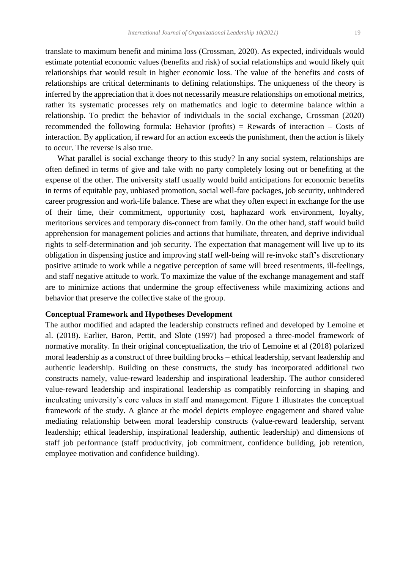translate to maximum benefit and minima loss (Crossman, 2020). As expected, individuals would estimate potential economic values (benefits and risk) of social relationships and would likely quit relationships that would result in higher economic loss. The value of the benefits and costs of relationships are critical determinants to defining relationships. The uniqueness of the theory is inferred by the appreciation that it does not necessarily measure relationships on emotional metrics, rather its systematic processes rely on mathematics and logic to determine balance within a relationship. To predict the behavior of individuals in the social exchange, Crossman (2020) recommended the following formula: Behavior (profits) = Rewards of interaction – Costs of interaction. By application, if reward for an action exceeds the punishment, then the action is likely to occur. The reverse is also true.

What parallel is social exchange theory to this study? In any social system, relationships are often defined in terms of give and take with no party completely losing out or benefiting at the expense of the other. The university staff usually would build anticipations for economic benefits in terms of equitable pay, unbiased promotion, social well-fare packages, job security, unhindered career progression and work-life balance. These are what they often expect in exchange for the use of their time, their commitment, opportunity cost, haphazard work environment, loyalty, meritorious services and temporary dis-connect from family. On the other hand, staff would build apprehension for management policies and actions that humiliate, threaten, and deprive individual rights to self-determination and job security. The expectation that management will live up to its obligation in dispensing justice and improving staff well-being will re-invoke staff's discretionary positive attitude to work while a negative perception of same will breed resentments, ill-feelings, and staff negative attitude to work. To maximize the value of the exchange management and staff are to minimize actions that undermine the group effectiveness while maximizing actions and behavior that preserve the collective stake of the group.

# **Conceptual Framework and Hypotheses Development**

The author modified and adapted the leadership constructs refined and developed by Lemoine et al. (2018). Earlier, Baron, Pettit, and Slote (1997) had proposed a three-model framework of normative morality. In their original conceptualization, the trio of Lemoine et al (2018) polarized moral leadership as a construct of three building brocks – ethical leadership, servant leadership and authentic leadership. Building on these constructs, the study has incorporated additional two constructs namely, value-reward leadership and inspirational leadership. The author considered value-reward leadership and inspirational leadership as compatibly reinforcing in shaping and inculcating university's core values in staff and management. Figure 1 illustrates the conceptual framework of the study. A glance at the model depicts employee engagement and shared value mediating relationship between moral leadership constructs (value-reward leadership, servant leadership; ethical leadership, inspirational leadership, authentic leadership) and dimensions of staff job performance (staff productivity, job commitment, confidence building, job retention, employee motivation and confidence building).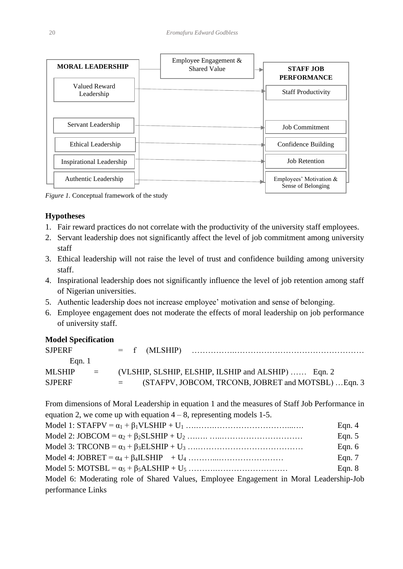

*Figure 1.* Conceptual framework of the study

### **Hypotheses**

- 1. Fair reward practices do not correlate with the productivity of the university staff employees.
- 2. Servant leadership does not significantly affect the level of job commitment among university staff
- 3. Ethical leadership will not raise the level of trust and confidence building among university staff.
- 4. Inspirational leadership does not significantly influence the level of job retention among staff of Nigerian universities.
- 5. Authentic leadership does not increase employee' motivation and sense of belonging.
- 6. Employee engagement does not moderate the effects of moral leadership on job performance of university staff.

#### **Model Specification**

| <b>SJPERF</b> |                                      |          |  |                                                     |  |
|---------------|--------------------------------------|----------|--|-----------------------------------------------------|--|
| Egn. 1        |                                      |          |  |                                                     |  |
| MLSHIP        | $\mathbf{r} = \mathbf{r} \mathbf{r}$ |          |  | (VLSHIP, SLSHIP, ELSHIP, ILSHIP and ALSHIP)  Eqn. 2 |  |
| <b>SJPERF</b> |                                      | $\equiv$ |  | (STAFPV, JOBCOM, TRCONB, JOBRET and MOTSBL)  Eqn. 3 |  |

From dimensions of Moral Leadership in equation 1 and the measures of Staff Job Performance in equation 2, we come up with equation  $4 - 8$ , representing models 1-5.

|                                                                                        | Eqn. $4$ |
|----------------------------------------------------------------------------------------|----------|
|                                                                                        | Eqn. $5$ |
|                                                                                        | Eqn. $6$ |
|                                                                                        | Eqn. $7$ |
|                                                                                        | Eqn. $8$ |
| Model 6: Moderating role of Shared Values, Employee Engagement in Moral Leadership-Job |          |
| performance Links                                                                      |          |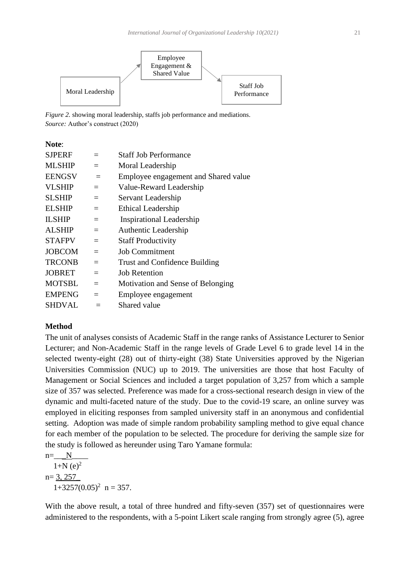

*Figure 2.* showing moral leadership, staffs job performance and mediations. *Source:* Author's construct (2020)

**Note**:

| <b>SJPERF</b> | $=$ | <b>Staff Job Performance</b>         |
|---------------|-----|--------------------------------------|
| <b>MLSHIP</b> | $=$ | Moral Leadership                     |
| <b>EENGSV</b> | $=$ | Employee engagement and Shared value |
| <b>VLSHIP</b> | $=$ | Value-Reward Leadership              |
| <b>SLSHIP</b> | $=$ | Servant Leadership                   |
| <b>ELSHIP</b> | $=$ | Ethical Leadership                   |
| <b>ILSHIP</b> | $=$ | <b>Inspirational Leadership</b>      |
| <b>ALSHIP</b> | $=$ | Authentic Leadership                 |
| <b>STAFPV</b> | $=$ | <b>Staff Productivity</b>            |
| <b>JOBCOM</b> | $=$ | <b>Job Commitment</b>                |
| <b>TRCONB</b> | $=$ | Trust and Confidence Building        |
| <b>JOBRET</b> | $=$ | <b>Job Retention</b>                 |
| <b>MOTSBL</b> | $=$ | Motivation and Sense of Belonging    |
| <b>EMPENG</b> | $=$ | Employee engagement                  |
| <b>SHDVAL</b> |     | Shared value                         |
|               |     |                                      |

# **Method**

The unit of analyses consists of Academic Staff in the range ranks of Assistance Lecturer to Senior Lecturer; and Non-Academic Staff in the range levels of Grade Level 6 to grade level 14 in the selected twenty-eight (28) out of thirty-eight (38) State Universities approved by the Nigerian Universities Commission (NUC) up to 2019. The universities are those that host Faculty of Management or Social Sciences and included a target population of 3,257 from which a sample size of 357 was selected. Preference was made for a cross-sectional research design in view of the dynamic and multi-faceted nature of the study. Due to the covid-19 scare, an online survey was employed in eliciting responses from sampled university staff in an anonymous and confidential setting. Adoption was made of simple random probability sampling method to give equal chance for each member of the population to be selected. The procedure for deriving the sample size for the study is followed as hereunder using Taro Yamane formula:

 $n=$  N  $1+N(e)^2$  $n= 3, 257$  $1+3257(0.05)^2$  n = 357.

With the above result, a total of three hundred and fifty-seven (357) set of questionnaires were administered to the respondents, with a 5-point Likert scale ranging from strongly agree (5), agree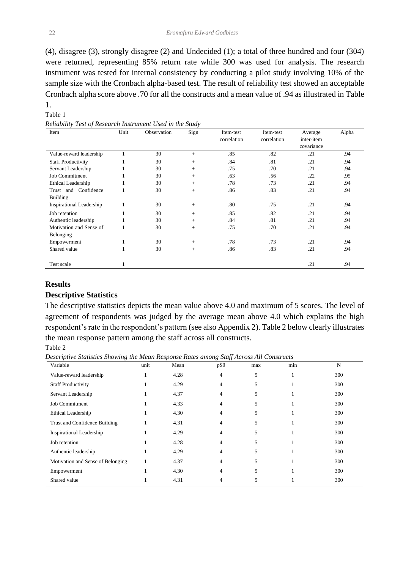(4), disagree (3), strongly disagree (2) and Undecided (1); a total of three hundred and four (304) were returned, representing 85% return rate while 300 was used for analysis. The research instrument was tested for internal consistency by conducting a pilot study involving 10% of the sample size with the Cronbach alpha-based test. The result of reliability test showed an acceptable Cronbach alpha score above .70 for all the constructs and a mean value of .94 as illustrated in Table 1.

# Table 1

*Reliability Test of Research Instrument Used in the Study*

| Item                            | Unit | Observation | Sign | Item-test   | Item-test   | Average    | Alpha |
|---------------------------------|------|-------------|------|-------------|-------------|------------|-------|
|                                 |      |             |      | correlation | correlation | inter-item |       |
|                                 |      |             |      |             |             | covariance |       |
| Value-reward leadership         |      | 30          | $+$  | .85         | .82         | .21        | .94   |
| <b>Staff Productivity</b>       | 1    | 30          | $+$  | .84         | .81         | .21        | .94   |
| Servant Leadership              | 1    | 30          | $+$  | .75         | .70         | .21        | .94   |
| <b>Job Commitment</b>           |      | 30          | $+$  | .63         | .56         | .22        | .95   |
| Ethical Leadership              |      | 30          | $+$  | .78         | .73         | .21        | .94   |
| Trust and Confidence            |      | 30          | $+$  | .86         | .83         | .21        | .94   |
| <b>Building</b>                 |      |             |      |             |             |            |       |
| <b>Inspirational Leadership</b> | 1    | 30          | $+$  | .80         | .75         | .21        | .94   |
| Job retention                   |      | 30          | $+$  | .85         | .82         | .21        | .94   |
| Authentic leadership            |      | 30          | $+$  | .84         | .81         | .21        | .94   |
| Motivation and Sense of         |      | 30          | $+$  | .75         | .70         | .21        | .94   |
| Belonging                       |      |             |      |             |             |            |       |
| Empowerment                     | 1    | 30          | $+$  | .78         | .73         | .21        | .94   |
| Shared value                    |      | 30          | $+$  | .86         | .83         | .21        | .94   |
|                                 |      |             |      |             |             |            |       |
| Test scale                      |      |             |      |             |             | .21        | .94   |

#### **Results**

#### **Descriptive Statistics**

The descriptive statistics depicts the mean value above 4.0 and maximum of 5 scores. The level of agreement of respondents was judged by the average mean above 4.0 which explains the high respondent's rate in the respondent's pattern (see also Appendix 2). Table 2 below clearly illustrates the mean response pattern among the staff across all constructs.

Table 2

*Descriptive Statistics Showing the Mean Response Rates among Staff Across All Constructs*

| Variable                          | unit | Mean | $pS\theta$ | max | min | N   |
|-----------------------------------|------|------|------------|-----|-----|-----|
| Value-reward leadership           |      | 4.28 | 4          | 5   |     | 300 |
| <b>Staff Productivity</b>         |      | 4.29 | 4          | 5   |     | 300 |
| Servant Leadership                |      | 4.37 | 4          | 5   |     | 300 |
| Job Commitment                    |      | 4.33 | 4          | 5   |     | 300 |
| Ethical Leadership                |      | 4.30 | 4          | 5   |     | 300 |
| Trust and Confidence Building     | -1   | 4.31 | 4          | 5   |     | 300 |
| <b>Inspirational Leadership</b>   |      | 4.29 | 4          | 5   |     | 300 |
| Job retention                     |      | 4.28 | 4          | 5   |     | 300 |
| Authentic leadership              |      | 4.29 | 4          | 5   |     | 300 |
| Motivation and Sense of Belonging |      | 4.37 | 4          | 5   |     | 300 |
| Empowerment                       |      | 4.30 | 4          | 5   |     | 300 |
| Shared value                      |      | 4.31 |            | 5   |     | 300 |
|                                   |      |      |            |     |     |     |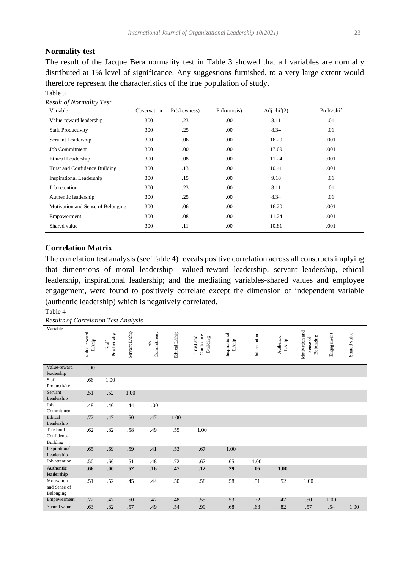# **Normality test**

The result of the Jacque Bera normality test in Table 3 showed that all variables are normally distributed at 1% level of significance. Any suggestions furnished, to a very large extent would therefore represent the characteristics of the true population of study.

Table 3 *Result of Normality Test*

| Variable                          | Observation | Pr(skewness) | Pr(kurtosis) | Adj chi $^{2}(2)$ | Prob $>$ chi <sup>2</sup> |
|-----------------------------------|-------------|--------------|--------------|-------------------|---------------------------|
| Value-reward leadership           | 300         | .23          | .00          | 8.11              | .01                       |
| <b>Staff Productivity</b>         | 300         | .25          | .00.         | 8.34              | .01                       |
| Servant Leadership                | 300         | .06          | .00.         | 16.20             | .001                      |
| <b>Job Commitment</b>             | 300         | .00          | .00.         | 17.09             | .001                      |
| Ethical Leadership                | 300         | .08          | .00.         | 11.24             | .001                      |
| Trust and Confidence Building     | 300         | .13          | .00.         | 10.41             | .001                      |
| Inspirational Leadership          | 300         | .15          | .00.         | 9.18              | .01                       |
| Job retention                     | 300         | .23          | .00.         | 8.11              | .01                       |
| Authentic leadership              | 300         | .25          | .00.         | 8.34              | .01                       |
| Motivation and Sense of Belonging | 300         | .06          | .00.         | 16.20             | .001                      |
| Empowerment                       | 300         | .08          | .00.         | 11.24             | .001                      |
| Shared value                      | 300         | .11          | .00.         | 10.81             | .001                      |

# **Correlation Matrix**

The correlation test analysis (see Table 4) reveals positive correlation across all constructs implying that dimensions of moral leadership –valued-reward leadership, servant leadership, ethical leadership, inspirational leadership; and the mediating variables-shared values and employee engagement, were found to positively correlate except the dimension of independent variable (authentic leadership) which is negatively correlated.

Table 4

*Results of Correlation Test Analysis*

| Variable                                |                                 |                                                             |                |                   |                |                                     |                                    |               |                             |                                         |            |              |
|-----------------------------------------|---------------------------------|-------------------------------------------------------------|----------------|-------------------|----------------|-------------------------------------|------------------------------------|---------------|-----------------------------|-----------------------------------------|------------|--------------|
|                                         | Value-reward<br>$_{\rm L/ship}$ | Productivity<br>$\operatorname{\mathbf{S}\text{\it{taff}}}$ | Servant L/ship | Commitment<br>Job | Ethical L'ship | Confidence<br>Trust and<br>Building | Inspirational<br>$L/\mathrm{ship}$ | Job retention | Authentic<br>${\rm L/ship}$ | Motivation and<br>Belonging<br>Sense of | Engagement | Shared value |
| Value-reward<br>leadership              | 1.00                            |                                                             |                |                   |                |                                     |                                    |               |                             |                                         |            |              |
| Staff<br>Productivity                   | .66                             | 1.00                                                        |                |                   |                |                                     |                                    |               |                             |                                         |            |              |
| Servant<br>Leadership                   | .51                             | .52                                                         | 1.00           |                   |                |                                     |                                    |               |                             |                                         |            |              |
| Job<br>Commitment                       | .48                             | .46                                                         | .44            | 1.00              |                |                                     |                                    |               |                             |                                         |            |              |
| Ethical<br>Leadership                   | .72                             | .47                                                         | .50            | .47               | 1.00           |                                     |                                    |               |                             |                                         |            |              |
| Trust and<br>Confidence<br>Building     | .62                             | .82                                                         | .58            | .49               | .55            | 1.00                                |                                    |               |                             |                                         |            |              |
| Inspirational<br>Leadership             | .65                             | .69                                                         | .59            | .41               | .53            | .67                                 | 1.00                               |               |                             |                                         |            |              |
| Job retention                           | .50                             | .66                                                         | .51            | .48               | .72            | .67                                 | .65                                | 1.00          |                             |                                         |            |              |
| <b>Authentic</b><br>leadership          | .66                             | .00.                                                        | .52            | .16               | .47            | .12                                 | .29                                | .06           | 1.00                        |                                         |            |              |
| Motivation<br>and Sense of<br>Belonging | .51                             | .52                                                         | .45            | .44               | .50            | .58                                 | .58                                | .51           | .52                         | 1.00                                    |            |              |
| Empowerment                             | .72                             | .47                                                         | .50            | .47               | .48            | .55                                 | .53                                | .72           | .47                         | .50                                     | 1.00       |              |
| Shared value                            | .63                             | .82                                                         | .57            | .49               | .54            | .99                                 | .68                                | .63           | .82                         | .57                                     | .54        | 1.00         |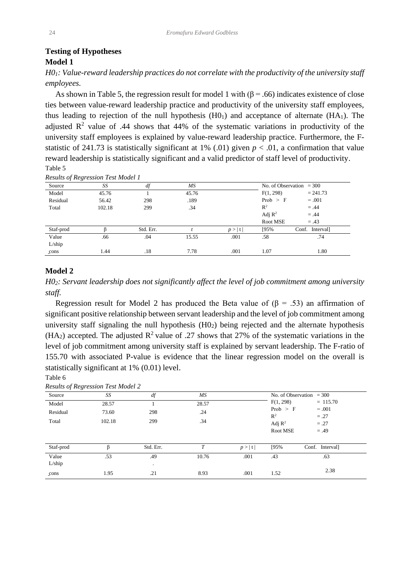# **Testing of Hypotheses Model 1**

*H01: Value-reward leadership practices do not correlate with the productivity of the university staff employees.*

As shown in Table 5, the regression result for model 1 with  $(\beta = .66)$  indicates existence of close ties between value-reward leadership practice and productivity of the university staff employees, thus leading to rejection of the null hypothesis  $(H0<sub>1</sub>)$  and acceptance of alternate  $(HA<sub>1</sub>)$ . The adjusted  $\mathbb{R}^2$  value of .44 shows that 44% of the systematic variations in productivity of the university staff employees is explained by value-reward leadership practice. Furthermore, the Fstatistic of 241.73 is statistically significant at 1% (.01) given  $p < .01$ , a confirmation that value reward leadership is statistically significant and a valid predictor of staff level of productivity. Table 5

| $\mathbf{\circ}$<br>Source | SS     | df        | МS    |        |                    | No. of Observation $= 300$ |
|----------------------------|--------|-----------|-------|--------|--------------------|----------------------------|
| Model                      | 45.76  |           | 45.76 |        | F(1, 298)          | $= 241.73$                 |
| Residual                   | 56.42  | 298       | .189  |        | Prob > F           | $=.001$                    |
| Total                      | 102.18 | 299       | .34   |        | $\mathbb{R}^2$     | $=.44$                     |
|                            |        |           |       |        | Adj $\mathbb{R}^2$ | $=.44$                     |
|                            |        |           |       |        | Root MSE           | $=.43$                     |
| Staf-prod                  |        | Std. Err. |       | p >  t | [95%]              | Conf.<br>Interval]         |
| Value                      | .66    | .04       | 15.55 | .001   | .58                | .74                        |
| L/ship                     |        |           |       |        |                    |                            |
| cons                       | 1.44   | .18       | 7.78  | .001   | 1.07               | 1.80                       |

*Results of Regression Test Model 1*

#### **Model 2**

Table 6

*H02: Servant leadership does not significantly affect the level of job commitment among university staff.*

Regression result for Model 2 has produced the Beta value of  $(\beta = .53)$  an affirmation of significant positive relationship between servant leadership and the level of job commitment among university staff signaling the null hypothesis  $(HO<sub>2</sub>)$  being rejected and the alternate hypothesis (HA<sub>2</sub>) accepted. The adjusted  $\mathbb{R}^2$  value of .27 shows that 27% of the systematic variations in the level of job commitment among university staff is explained by servant leadership. The F-ratio of 155.70 with associated P-value is evidence that the linear regression model on the overall is statistically significant at 1% (0.01) level.

| Source          | SS     | df               | МS    |        |                                                  | No. of Observation $=300$  |
|-----------------|--------|------------------|-------|--------|--------------------------------------------------|----------------------------|
| Model           | 28.57  |                  | 28.57 |        | F(1, 298)                                        | $= 115.70$                 |
| Residual        | 73.60  | 298              | .24   |        | Prob $> F$                                       | $=.001$                    |
| Total           | 102.18 | 299              | .34   |        | $\mathbb{R}^2$<br>Adj $\mathbb{R}^2$<br>Root MSE | $=.27$<br>$=.27$<br>$=.49$ |
| Staf-prod       | ß      | Std. Err.        | T     | p >  t | [95%                                             | Conf. Interval             |
| Value<br>L/ship | .53    | .49<br>$\bullet$ | 10.76 | .001   | .43                                              | .63                        |
| cons            | 1.95   | .21              | 8.93  | .001   | 1.52                                             | 2.38                       |

*Results of Regression Test Model 2*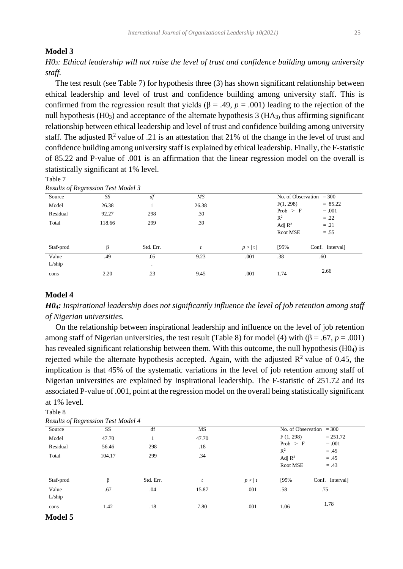### **Model 3**

*H03: Ethical leadership will not raise the level of trust and confidence building among university staff.*

 The test result (see Table 7) for hypothesis three (3) has shown significant relationship between ethical leadership and level of trust and confidence building among university staff. This is confirmed from the regression result that yields ( $\beta$  = .49, *p* = .001) leading to the rejection of the null hypothesis  $(H0<sub>3</sub>)$  and acceptance of the alternate hypothesis 3 (HA<sub>3)</sub> thus affirming significant relationship between ethical leadership and level of trust and confidence building among university staff. The adjusted  $\mathbb{R}^2$  value of .21 is an attestation that 21% of the change in the level of trust and confidence building among university staff is explained by ethical leadership. Finally, the F-statistic of 85.22 and P-value of .001 is an affirmation that the linear regression model on the overall is statistically significant at 1% level.

Table 7

| Source    | SS     | df        | МS    |        | No. of Observation $=300$            |                  |  |
|-----------|--------|-----------|-------|--------|--------------------------------------|------------------|--|
| Model     | 26.38  |           | 26.38 |        | F(1, 298)                            | $= 85.22$        |  |
| Residual  | 92.27  | 298       | .30   |        | Prob > F                             | $=.001$          |  |
| Total     | 118.66 | 299       | .39   |        | $\mathbb{R}^2$<br>Adj $\mathbb{R}^2$ | $=.22$<br>$=.21$ |  |
|           |        |           |       |        | Root MSE                             | $=.55$           |  |
| Staf-prod |        | Std. Err. |       | p >  t | [95%]                                | Conf. Interval   |  |
| Value     | .49    | .05       | 9.23  | .001   | .38                                  | .60              |  |
| L/ship    |        | $\cdot$   |       |        |                                      |                  |  |
| cons      | 2.20   | .23       | 9.45  | .001   | 1.74                                 | 2.66             |  |

*Results of Regression Test Model 3*

# **Model 4**

*H04: Inspirational leadership does not significantly influence the level of job retention among staff of Nigerian universities.*

 On the relationship between inspirational leadership and influence on the level of job retention among staff of Nigerian universities, the test result (Table 8) for model (4) with  $(\beta = .67, p = .001)$ has revealed significant relationship between them. With this outcome, the null hypothesis (H04) is rejected while the alternate hypothesis accepted. Again, with the adjusted  $\mathbb{R}^2$  value of 0.45, the implication is that 45% of the systematic variations in the level of job retention among staff of Nigerian universities are explained by Inspirational leadership. The F-statistic of 251.72 and its associated P-value of .001, point at the regression model on the overall being statistically significant at 1% level.

Table 8

| Source          | SS     | df        | MS    |        |                                | No. of Observation $=300$  |
|-----------------|--------|-----------|-------|--------|--------------------------------|----------------------------|
| Model           | 47.70  |           | 47.70 |        | F(1, 298)                      | $= 251.72$                 |
| Residual        | 56.46  | 298       | .18   |        | Prob $>$ F<br>$\mathbb{R}^2$   | $=.001$                    |
| Total           | 104.17 | 299       | .34   |        | Adj $\mathbb{R}^2$<br>Root MSE | $=.45$<br>$=.45$<br>$=.43$ |
| Staf-prod       | ß      | Std. Err. |       | p >  t | [95%                           | Conf. Interval             |
| Value<br>L/ship | .67    | .04       | 15.87 | .001   | .58                            | .75                        |
| cons            | 1.42   | .18       | 7.80  | .001   | 1.06                           | 1.78                       |

*Results of Regression Test Model 4*

#### **Model 5**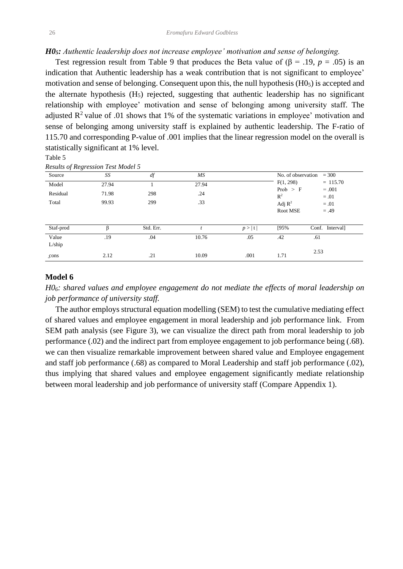#### *H05: Authentic leadership does not increase employee' motivation and sense of belonging.*

Test regression result from Table 9 that produces the Beta value of  $(\beta = .19, p = .05)$  is an indication that Authentic leadership has a weak contribution that is not significant to employee' motivation and sense of belonging. Consequent upon this, the null hypothesis (H05) is accepted and the alternate hypothesis  $(H<sub>5</sub>)$  rejected, suggesting that authentic leadership has no significant relationship with employee' motivation and sense of belonging among university staff. The adjusted  $\mathbb{R}^2$  value of .01 shows that 1% of the systematic variations in employee' motivation and sense of belonging among university staff is explained by authentic leadership. The F-ratio of 115.70 and corresponding P-value of .001 implies that the linear regression model on the overall is statistically significant at 1% level.

#### Table 5

#### *Results of Regression Test Model 5*

| Source    | SS    | df        | МS    |        | No. of observation | $= 300$           |
|-----------|-------|-----------|-------|--------|--------------------|-------------------|
| Model     | 27.94 |           | 27.94 |        | F(1, 298)          | $= 115.70$        |
| Residual  | 71.98 | 298       | .24   |        | Prob > F<br>$R^2$  | $=.001$<br>$=.01$ |
| Total     | 99.93 | 299       | .33   |        | Adj $\mathbb{R}^2$ | $=.01$            |
|           |       |           |       |        | Root MSE           | $=.49$            |
|           |       |           |       |        |                    |                   |
| Staf-prod | β     | Std. Err. |       | p >  t | [95%]              | Conf. Intervall   |
| Value     | .19   | .04       | 10.76 | .05    | .42                | .61               |
| L/ship    |       |           |       |        |                    |                   |
| cons      | 2.12  | .21       | 10.09 | .001   | 1.71               | 2.53              |

# **Model 6**

*H06: shared values and employee engagement do not mediate the effects of moral leadership on job performance of university staff.*

 The author employs structural equation modelling (SEM) to test the cumulative mediating effect of shared values and employee engagement in moral leadership and job performance link. From SEM path analysis (see Figure 3), we can visualize the direct path from moral leadership to job performance (.02) and the indirect part from employee engagement to job performance being (.68). we can then visualize remarkable improvement between shared value and Employee engagement and staff job performance (.68) as compared to Moral Leadership and staff job performance (.02), thus implying that shared values and employee engagement significantly mediate relationship between moral leadership and job performance of university staff (Compare Appendix 1).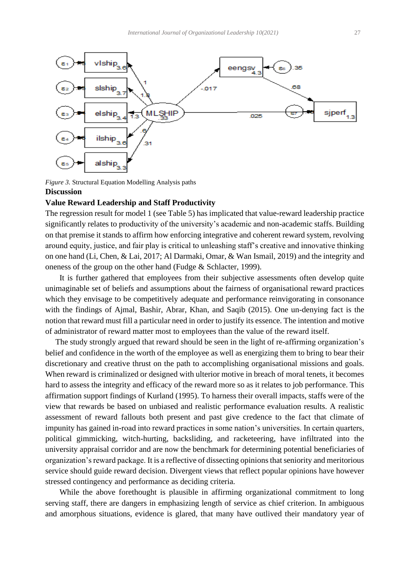

*Figure 3.* Structural Equation Modelling Analysis paths **Discussion**

#### **Value Reward Leadership and Staff Productivity**

The regression result for model 1 (see Table 5) has implicated that value-reward leadership practice significantly relates to productivity of the university's academic and non-academic staffs. Building on that premise it stands to affirm how enforcing integrative and coherent reward system, revolving around equity, justice, and fair play is critical to unleashing staff's creative and innovative thinking on one hand (Li, Chen, & Lai, 2017; Al Darmaki, Omar, & Wan Ismail, 2019) and the integrity and oneness of the group on the other hand (Fudge & Schlacter, 1999).

It is further gathered that employees from their subjective assessments often develop quite unimaginable set of beliefs and assumptions about the fairness of organisational reward practices which they envisage to be competitively adequate and performance reinvigorating in consonance with the findings of Ajmal, Bashir, Abrar, Khan, and Saqib (2015). One un-denying fact is the notion that reward must fill a particular need in order to justify its essence. The intention and motive of administrator of reward matter most to employees than the value of the reward itself.

 The study strongly argued that reward should be seen in the light of re-affirming organization's belief and confidence in the worth of the employee as well as energizing them to bring to bear their discretionary and creative thrust on the path to accomplishing organisational missions and goals. When reward is criminalized or designed with ulterior motive in breach of moral tenets, it becomes hard to assess the integrity and efficacy of the reward more so as it relates to job performance. This affirmation support findings of Kurland (1995). To harness their overall impacts, staffs were of the view that rewards be based on unbiased and realistic performance evaluation results. A realistic assessment of reward fallouts both present and past give credence to the fact that climate of impunity has gained in-road into reward practices in some nation's universities. In certain quarters, political gimmicking, witch-hurting, backsliding, and racketeering, have infiltrated into the university appraisal corridor and are now the benchmark for determining potential beneficiaries of organization's reward package. It is a reflective of dissecting opinions that seniority and meritorious service should guide reward decision. Divergent views that reflect popular opinions have however stressed contingency and performance as deciding criteria.

While the above forethought is plausible in affirming organizational commitment to long serving staff, there are dangers in emphasizing length of service as chief criterion. In ambiguous and amorphous situations, evidence is glared, that many have outlived their mandatory year of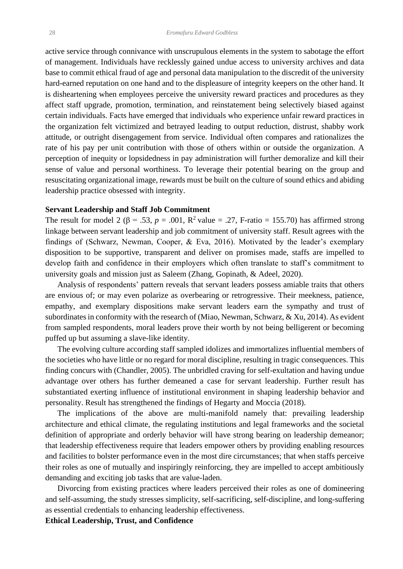active service through connivance with unscrupulous elements in the system to sabotage the effort of management. Individuals have recklessly gained undue access to university archives and data base to commit ethical fraud of age and personal data manipulation to the discredit of the university hard-earned reputation on one hand and to the displeasure of integrity keepers on the other hand. It is disheartening when employees perceive the university reward practices and procedures as they affect staff upgrade, promotion, termination, and reinstatement being selectively biased against certain individuals. Facts have emerged that individuals who experience unfair reward practices in the organization felt victimized and betrayed leading to output reduction, distrust, shabby work attitude, or outright disengagement from service. Individual often compares and rationalizes the rate of his pay per unit contribution with those of others within or outside the organization. A perception of inequity or lopsidedness in pay administration will further demoralize and kill their sense of value and personal worthiness. To leverage their potential bearing on the group and resuscitating organizational image, rewards must be built on the culture of sound ethics and abiding leadership practice obsessed with integrity.

#### **Servant Leadership and Staff Job Commitment**

The result for model 2 ( $\beta$  = .53,  $p$  = .001,  $\mathbb{R}^2$  value = .27, F-ratio = 155.70) has affirmed strong linkage between servant leadership and job commitment of university staff. Result agrees with the findings of (Schwarz, Newman, Cooper, & Eva, 2016). Motivated by the leader's exemplary disposition to be supportive, transparent and deliver on promises made, staffs are impelled to develop faith and confidence in their employers which often translate to staff's commitment to university goals and mission just as Saleem (Zhang, Gopinath, & Adeel, 2020).

Analysis of respondents' pattern reveals that servant leaders possess amiable traits that others are envious of; or may even polarize as overbearing or retrogressive. Their meekness, patience, empathy, and exemplary dispositions make servant leaders earn the sympathy and trust of subordinates in conformity with the research of (Miao, Newman, Schwarz, & Xu, 2014). As evident from sampled respondents, moral leaders prove their worth by not being belligerent or becoming puffed up but assuming a slave-like identity.

The evolving culture according staff sampled idolizes and immortalizes influential members of the societies who have little or no regard for moral discipline, resulting in tragic consequences. This finding concurs with (Chandler, 2005). The unbridled craving for self-exultation and having undue advantage over others has further demeaned a case for servant leadership. Further result has substantiated exerting influence of institutional environment in shaping leadership behavior and personality. Result has strengthened the findings of Hegarty and Moccia (2018).

The implications of the above are multi-manifold namely that: prevailing leadership architecture and ethical climate, the regulating institutions and legal frameworks and the societal definition of appropriate and orderly behavior will have strong bearing on leadership demeanor; that leadership effectiveness require that leaders empower others by providing enabling resources and facilities to bolster performance even in the most dire circumstances; that when staffs perceive their roles as one of mutually and inspiringly reinforcing, they are impelled to accept ambitiously demanding and exciting job tasks that are value-laden.

Divorcing from existing practices where leaders perceived their roles as one of domineering and self-assuming, the study stresses simplicity, self-sacrificing, self-discipline, and long-suffering as essential credentials to enhancing leadership effectiveness.

**Ethical Leadership, Trust, and Confidence**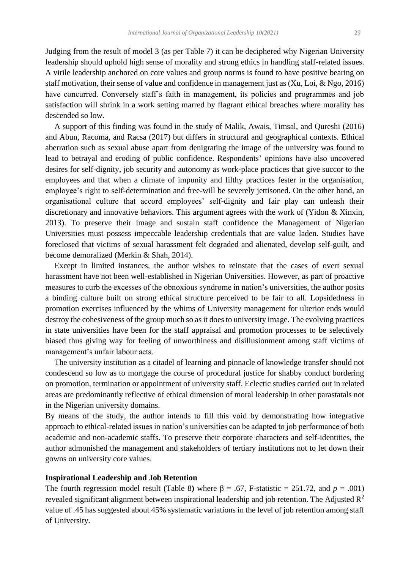Judging from the result of model 3 (as per Table 7) it can be deciphered why Nigerian University leadership should uphold high sense of morality and strong ethics in handling staff-related issues. A virile leadership anchored on core values and group norms is found to have positive bearing on staff motivation, their sense of value and confidence in management just as (Xu, Loi, & Ngo, 2016) have concurred. Conversely staff's faith in management, its policies and programmes and job satisfaction will shrink in a work setting marred by flagrant ethical breaches where morality has descended so low.

A support of this finding was found in the study of Malik, Awais, Timsal, and Qureshi (2016) and Abun, Racoma, and Racsa (2017) but differs in structural and geographical contexts. Ethical aberration such as sexual abuse apart from denigrating the image of the university was found to lead to betrayal and eroding of public confidence. Respondents' opinions have also uncovered desires for self-dignity, job security and autonomy as work-place practices that give succor to the employees and that when a climate of impunity and filthy practices fester in the organisation, employee's right to self-determination and free-will be severely jettisoned. On the other hand, an organisational culture that accord employees' self-dignity and fair play can unleash their discretionary and innovative behaviors. This argument agrees with the work of (Yidon & Xinxin, 2013). To preserve their image and sustain staff confidence the Management of Nigerian Universities must possess impeccable leadership credentials that are value laden. Studies have foreclosed that victims of sexual harassment felt degraded and alienated, develop self-guilt, and become demoralized (Merkin & Shah, 2014).

Except in limited instances, the author wishes to reinstate that the cases of overt sexual harassment have not been well-established in Nigerian Universities. However, as part of proactive measures to curb the excesses of the obnoxious syndrome in nation's universities, the author posits a binding culture built on strong ethical structure perceived to be fair to all. Lopsidedness in promotion exercises influenced by the whims of University management for ulterior ends would destroy the cohesiveness of the group much so as it does to university image. The evolving practices in state universities have been for the staff appraisal and promotion processes to be selectively biased thus giving way for feeling of unworthiness and disillusionment among staff victims of management's unfair labour acts.

The university institution as a citadel of learning and pinnacle of knowledge transfer should not condescend so low as to mortgage the course of procedural justice for shabby conduct bordering on promotion, termination or appointment of university staff. Eclectic studies carried out in related areas are predominantly reflective of ethical dimension of moral leadership in other parastatals not in the Nigerian university domains.

By means of the study, the author intends to fill this void by demonstrating how integrative approach to ethical-related issues in nation's universities can be adapted to job performance of both academic and non-academic staffs. To preserve their corporate characters and self-identities, the author admonished the management and stakeholders of tertiary institutions not to let down their gowns on university core values.

#### **Inspirational Leadership and Job Retention**

The fourth regression model result (Table 8) where  $\beta = .67$ , F-statistic = 251.72, and  $p = .001$ ) revealed significant alignment between inspirational leadership and job retention. The Adjusted  $\mathbb{R}^2$ value of .45 has suggested about 45% systematic variations in the level of job retention among staff of University.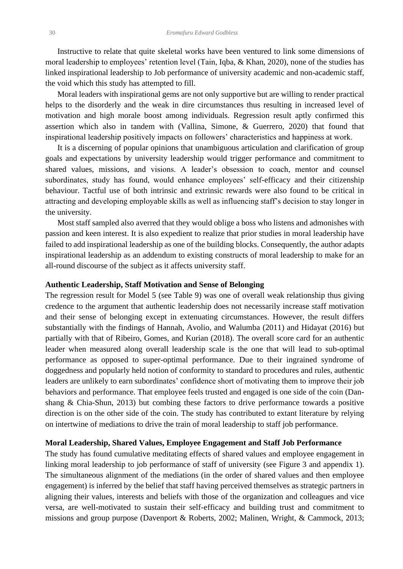Instructive to relate that quite skeletal works have been ventured to link some dimensions of moral leadership to employees' retention level (Tain, Iqba, & Khan, 2020), none of the studies has linked inspirational leadership to Job performance of university academic and non-academic staff, the void which this study has attempted to fill.

Moral leaders with inspirational gems are not only supportive but are willing to render practical helps to the disorderly and the weak in dire circumstances thus resulting in increased level of motivation and high morale boost among individuals. Regression result aptly confirmed this assertion which also in tandem with (Vallina, Simone, & Guerrero, 2020) that found that inspirational leadership positively impacts on followers' characteristics and happiness at work.

It is a discerning of popular opinions that unambiguous articulation and clarification of group goals and expectations by university leadership would trigger performance and commitment to shared values, missions, and visions. A leader's obsession to coach, mentor and counsel subordinates, study has found, would enhance employees' self-efficacy and their citizenship behaviour. Tactful use of both intrinsic and extrinsic rewards were also found to be critical in attracting and developing employable skills as well as influencing staff's decision to stay longer in the university.

Most staff sampled also averred that they would oblige a boss who listens and admonishes with passion and keen interest. It is also expedient to realize that prior studies in moral leadership have failed to add inspirational leadership as one of the building blocks. Consequently, the author adapts inspirational leadership as an addendum to existing constructs of moral leadership to make for an all-round discourse of the subject as it affects university staff.

#### **Authentic Leadership, Staff Motivation and Sense of Belonging**

The regression result for Model 5 (see Table 9) was one of overall weak relationship thus giving credence to the argument that authentic leadership does not necessarily increase staff motivation and their sense of belonging except in extenuating circumstances. However, the result differs substantially with the findings of Hannah, Avolio, and Walumba (2011) and Hidayat (2016) but partially with that of Ribeiro, Gomes, and Kurian (2018). The overall score card for an authentic leader when measured along overall leadership scale is the one that will lead to sub-optimal performance as opposed to super-optimal performance. Due to their ingrained syndrome of doggedness and popularly held notion of conformity to standard to procedures and rules, authentic leaders are unlikely to earn subordinates' confidence short of motivating them to improve their job behaviors and performance. That employee feels trusted and engaged is one side of the coin (Danshang & Chia-Shun, 2013) but combing these factors to drive performance towards a positive direction is on the other side of the coin. The study has contributed to extant literature by relying on intertwine of mediations to drive the train of moral leadership to staff job performance.

#### **Moral Leadership, Shared Values, Employee Engagement and Staff Job Performance**

The study has found cumulative meditating effects of shared values and employee engagement in linking moral leadership to job performance of staff of university (see Figure 3 and appendix 1). The simultaneous alignment of the mediations (in the order of shared values and then employee engagement) is inferred by the belief that staff having perceived themselves as strategic partners in aligning their values, interests and beliefs with those of the organization and colleagues and vice versa, are well-motivated to sustain their self-efficacy and building trust and commitment to missions and group purpose (Davenport & Roberts, 2002; Malinen, Wright, & Cammock, 2013;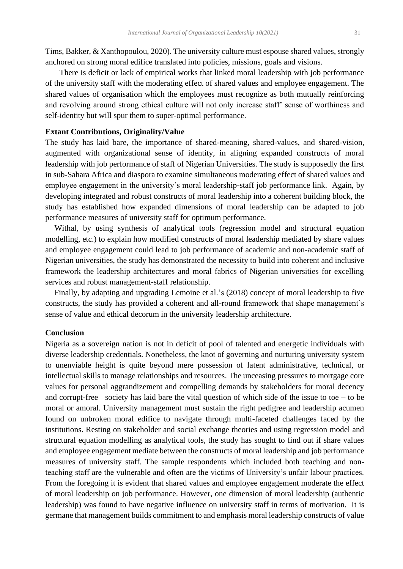Tims, Bakker, & Xanthopoulou, 2020). The university culture must espouse shared values, strongly anchored on strong moral edifice translated into policies, missions, goals and visions.

There is deficit or lack of empirical works that linked moral leadership with job performance of the university staff with the moderating effect of shared values and employee engagement. The shared values of organisation which the employees must recognize as both mutually reinforcing and revolving around strong ethical culture will not only increase staff' sense of worthiness and self-identity but will spur them to super-optimal performance.

## **Extant Contributions, Originality/Value**

The study has laid bare, the importance of shared-meaning, shared-values, and shared-vision, augmented with organizational sense of identity, in aligning expanded constructs of moral leadership with job performance of staff of Nigerian Universities. The study is supposedly the first in sub-Sahara Africa and diaspora to examine simultaneous moderating effect of shared values and employee engagement in the university's moral leadership-staff job performance link. Again, by developing integrated and robust constructs of moral leadership into a coherent building block, the study has established how expanded dimensions of moral leadership can be adapted to job performance measures of university staff for optimum performance.

Withal, by using synthesis of analytical tools (regression model and structural equation modelling, etc.) to explain how modified constructs of moral leadership mediated by share values and employee engagement could lead to job performance of academic and non-academic staff of Nigerian universities, the study has demonstrated the necessity to build into coherent and inclusive framework the leadership architectures and moral fabrics of Nigerian universities for excelling services and robust management-staff relationship.

Finally, by adapting and upgrading Lemoine et al.'s (2018) concept of moral leadership to five constructs, the study has provided a coherent and all-round framework that shape management's sense of value and ethical decorum in the university leadership architecture.

# **Conclusion**

Nigeria as a sovereign nation is not in deficit of pool of talented and energetic individuals with diverse leadership credentials. Nonetheless, the knot of governing and nurturing university system to unenviable height is quite beyond mere possession of latent administrative, technical, or intellectual skills to manage relationships and resources. The unceasing pressures to mortgage core values for personal aggrandizement and compelling demands by stakeholders for moral decency and corrupt-free society has laid bare the vital question of which side of the issue to toe – to be moral or amoral. University management must sustain the right pedigree and leadership acumen found on unbroken moral edifice to navigate through multi-faceted challenges faced by the institutions. Resting on stakeholder and social exchange theories and using regression model and structural equation modelling as analytical tools, the study has sought to find out if share values and employee engagement mediate between the constructs of moral leadership and job performance measures of university staff. The sample respondents which included both teaching and nonteaching staff are the vulnerable and often are the victims of University's unfair labour practices. From the foregoing it is evident that shared values and employee engagement moderate the effect of moral leadership on job performance. However, one dimension of moral leadership (authentic leadership) was found to have negative influence on university staff in terms of motivation. It is germane that management builds commitment to and emphasis moral leadership constructs of value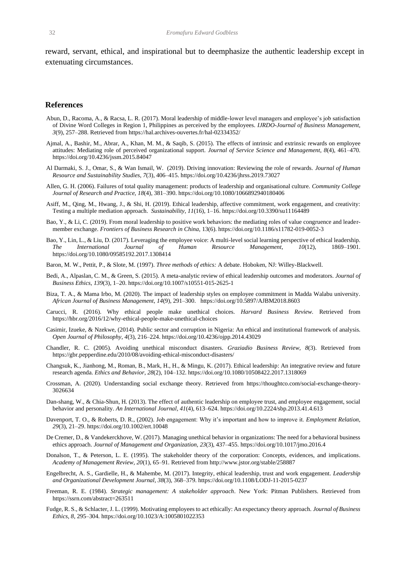reward, servant, ethical, and inspirational but to deemphasize the authentic leadership except in extenuating circumstances.

#### **References**

- Abun, D., Racoma, A., & Racsa, L. R. (2017). Moral leadership of middle-lower level managers and employee's job satisfaction of Divine Word Colleges in Region 1, Philippines as perceived by the employees. *IJRDO-Journal of Business Management, 3*(9), 257–288. Retrieved fro[m https://hal.archives-ouvertes.fr/hal-02334352/](https://hal.archives-ouvertes.fr/hal-02334352/)
- Ajmal, A., Bashir, M., Abrar, A., Khan, M. M., & Saqib, S. (2015). The effects of intrinsic and extrinsic rewards on employee attitudes: Mediating role of perceived organizational support. *Journal of Service Science and Management*, *8*(4), 461–470. https://doi.org[/10.4236/jssm.2015.84047](http://dx.doi.org/10.4236/jssm.2015.84047)
- Al Darmaki, S. J., Omar, S., & Wan Ismail, W. (2019). Driving innovation: Reviewing the role of rewards. *Journal of Human Resource and Sustainability Studies*, *7*(3), 406–415. https://doi.org[/10.4236/jhrss.2019.73027](https://doi.org/10.4236/jhrss.2019.73027)
- Allen, G. H. (2006). Failures of total quality management: products of leadership and organisational culture. *Community College Journal of Research and Practice, 18*(4), 381–390[. https://doi.org/10.1080/1066892940180406](https://doi.org/10.1080/1066892940180406)
- Asiff, M., Qing, M., Hwang, J., & Shi, H. (2019). Ethical leadership, affective commitment, work engagement, and creativity: Testing a multiple mediation approach. *Sustainability, 11*(16), 1–16[. https://doi.org/10.3390/su11164489](https://doi.org/10.3390/su11164489)
- Bao, Y., & Li, C. (2019). From moral leadership to positive work behaviors: the mediating roles of value congruence and leadermember exchange. *Frontiers of Business Research in China,* 13(6). <https://doi.org/10.1186/s11782-019-0052-3>
- Bao, Y., Lin, L., & Liu, D. (2017). Leveraging the employee voice: A multi-level social learning perspective of ethical leadership. *The International Journal of Human Resource Management, 10*(12), 1869–1901. <https://doi.org/10.1080/09585192.2017.1308414>
- Baron, M. W., Pettit, P., & Slote, M. (1997). *Three methods of ethics:* A debate. Hoboken, NJ: Willey-Blackwell.
- Bedi, A., Alpaslan, C. M., & Green, S. (2015). A meta-analytic review of ethical leadership outcomes and moderators. *Journal of Business Ethics*, *139*(3), 1–20. <https://doi.org/10.1007/s10551-015-2625-1>
- Biza, T. A., & Mama Irbo, M. (2020). The impact of leadership styles on employee commitment in Madda Walabu university. *African Journal of Business Management, 14*(9), 291–300. <https://doi.org/10.5897/AJBM2018.8603>
- Carucci, R. (2016). Why ethical people make unethical choices. *Harvard Business Review.* Retrieved from <https://hbr.org/2016/12/why-ethical-people-make-unethical-choices>
- Casimir, Izueke, & Nzekwe, (2014). Public sector and corruption in Nigeria: An ethical and institutional framework of analysis. *Open Journal of Philosophy, 4*(3), 216–224. https://doi.org/10.4236/ojpp.2014.43029
- Chandler, R. C. (2005). Avoiding unethical misconduct disasters. *Graziadio Business Review, 8*(3). Retrieved from <https://gbr.pepperdine.edu/2010/08/avoiding-ethical-misconduct-disasters/>
- Changsuk, K., Jianhong, M., Roman, B., Mark, H., H., & Mingu, K. (2017). Ethical leadership: An integrative review and future research agenda. *Ethics and Behavior*, *28*(2), 104–132. <https://doi.org/10.1080/10508422.2017.1318069>
- Crossman, A. (2020). Understanding social exchange theory. Retrieved from [https://thoughtco.com/social-exchange-theory-](https://thoughtco.com/social-exchange-theory-3026634)[3026634](https://thoughtco.com/social-exchange-theory-3026634)
- Dan-shang, W., & Chia-Shun, H. (2013). The effect of authentic leadership on employee trust, and employee engagement, social behavior and personality. *An International Journal, 41*(4), 613–624[. https://doi.org/10.2224/sbp.2013.41.4.613](https://doi.org/10.2224/sbp.2013.41.4.613)
- Davenport, T. O., & Roberts, D. R., (2002). Job engagement: Why it's important and how to improve it. *Employment Relation, 29*(3), 21–29[. https://doi.org/10.1002/ert.10048](https://doi.org/10.1002/ert.10048)
- De Cremer, D., & Vandekerckhove, W. (2017). Managing unethical behavior in organizations: The need for a behavioral business ethics approach. *Journal of Management and Organization, 23*(3), 437–455. <https://doi.org/10.1017/jmo.2016.4>
- Donalson, T., & Peterson, L. E. (1995). The stakeholder theory of the corporation: Concepts, evidences, and implications. *Academy of Management Review, 20*(1), 65–91. Retrieved from<http://www.jstor.org/stable/258887>
- Engelbrecht, A. S., Gardielle, H., & Mahembe, M. (2017). Integrity, ethical leadership, trust and work engagement. *Leadership and Organizational Development Journal, 38*(3), 368–379. <https://doi.org/10.1108/LODJ-11-2015-0237>
- Freeman, R. E. (1984). *Strategic management: A stakeholder approach*. New York: Pitman Publishers. Retrieved from <https://ssrn.com/abstract=263511>
- Fudge, R. S., & Schlacter, J. L. (1999). Motivating employees to act ethically: An expectancy theory approach. *Journal of Business Ethics*, *8*, 295–304.<https://doi.org/10.1023/A:1005801022353>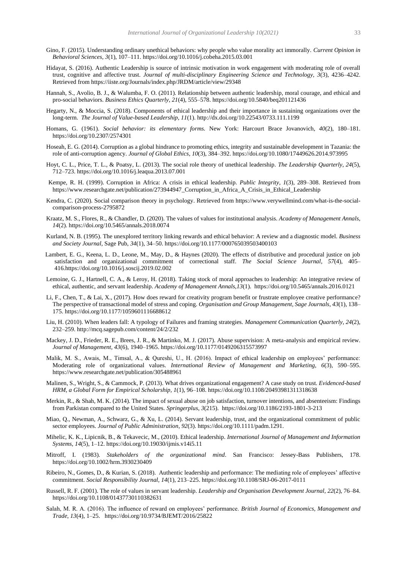- Gino, F. (2015). Understanding ordinary unethical behaviors: why people who value morality act immorally. *Current Opinion in Behavioral Sciences, 3*(1), 107–111.<https://doi.org/10.1016/j.cobeha.2015.03.001>
- Hidayat, S. (2016). Authentic Leadership is source of intrinsic motivation in work engagement with moderating role of overall trust, cognitive and affective trust. *Journal of multi-disciplinary Engineering Science and Technology, 3*(3), 4236–4242. Retrieved fro[m https://iiste.org/Journals/index.php/JRDM/article/view/29348](https://iiste.org/Journals/index.php/JRDM/article/view/29348)
- Hannah, S., Avolio, B. J., & Walumba, F. O. (2011). Relationship between authentic leadership, moral courage, and ethical and pro-social behaviors. *Business Ethics Quarterly*, *21*(4), 555–578.<https://doi.org/10.5840/beq201121436>
- Hegarty, N., & Moccia, S. (2018). Components of ethical leadership and their importance in sustaining organizations over the long-term. *The Journal of Value-based Leadership*, *11*(1). <http://dx.doi.org/10.22543/0733.111.1199>
- Homans, G. (1961). *Social behavior: its elementary forms.* New York: Harcourt Brace Jovanovich, *40*(2), 180–181. <https://doi.org/10.2307/2574301>
- Hoseah, E. G. (2014). Corruption as a global hindrance to promoting ethics, integrity and sustainable development in Tazania: the role of anti-corruption agency. *Journal of Global Ethics*, *10*(3), 384–392. <https://doi.org/10.1080/17449626.2014.973995>
- Hoyt, C. L., Price, T. L., & Poatsy, L. (2013). The social role theory of unethical leadership. *The Leadership Quarterly*, *24*(5), 712–723. [https://doi.org/10.1016/j.leaqua.2013.07.001](https://psycnet.apa.org/doi/10.1016/j.leaqua.2013.07.001)
- Kempe, R. H. (1999). Corruption in Africa: A crisis in ethical leadership. *Public Integrity, 1*(3), 289–308. Retrieved from [https://www.researchgate.net/publication/273944947\\_Corruption\\_in\\_Africa\\_A\\_Crisis\\_in\\_Ethical\\_Leadership](https://www.researchgate.net/publication/273944947_Corruption_in_Africa_A_Crisis_in_Ethical_Leadership)
- Kendra, C. (2020). Social comparison theory in psychology. Retrieved from [https://www.verywellmind.com/what-is-the-social](https://www.verywellmind.com/what-is-the-social-comparison-process-2795872)[comparison-process-2795872](https://www.verywellmind.com/what-is-the-social-comparison-process-2795872)
- Kraatz, M. S., Flores, R., & Chandler, D. (2020). The values of values for institutional analysis. *Academy of Management Annals*, *14*(2). <https://doi.org/10.5465/annals.2018.0074>
- Kurland, N. B. (1995). The unexplored territory linking rewards and ethical behavior: A review and a diagnostic model. *Business and Society Journal*, Sage Pub, *34*(1), 34–50[. https://doi.org/10.1177/000765039503400103](https://doi.org/10.1177%2F000765039503400103)
- Lambert, E. G., Keena, L. D., Leone, M., May, D., & Haynes (2020). The effects of distributive and procedural justice on job satisfaction and organizational commitment of correctional staff. *The Social Science Journal*, *57*(4), 405– 41[6.https://doi.org/10.1016/j.soscij.2019.02.002](https://doi.org/10.1016/j.soscij.2019.02.002)
- Lemoine, G. J., Hartnell, C. A., & Leroy, H. (2018). Taking stock of moral approaches to leadership: An integrative review of ethical, authentic, and servant leadership. *Academy of Management Annals,13*(1). <https://doi.org/10.5465/annals.2016.0121>
- Li, F., Chen, T., & Lai, X., (2017). How does reward for creativity program benefit or frustrate employee creative performance? The perspective of transactional model of stress and coping. *Organisation and Group Management, Sage Journals*, *43*(1), 138– 175. [https://doi.org/10.1177/1059601116688612](https://doi.org/10.1177%2F1059601116688612)
- Liu, H. (2010). When leaders fall: A typology of Failures and framing strategies. *Management Communication Quarterly*, *24*(2), 232–259. [http://mcq.sagepub.com/content/24/2/232](http://mcq.sagepub.com/content/24/2/232.abstract)
- Mackey, J. D., Frieder, R. E., Brees, J. R., & Martinko, M. J. (2017). Abuse supervision: A meta-analysis and empirical review. *Journal of Management, 43*(6), 1940–1965[. https://doi.org/10.1177/0149206315573997](https://doi.org/10.1177%2F0149206315573997)
- Malik, M. S., Awais, M., Timsal, A., & Qureshi, U., H. (2016). Impact of ethical leadership on employees' performance: Moderating role of organizational values. *International Review of Management and Marketing, 6*(3), 590–595. <https://www.researchgate.net/publication/305488961>
- Malinen, S., Wright, S., & Cammock, P. (2013). What drives organizational engagement? A case study on trust. *Evidenced-based HRM, a Global Form for Empirical Scholarship, 1*(1), 96–108[. https://doi.org/10.1108/20493981311318638](https://doi.org/10.1108/20493981311318638)
- Merkin, R., & Shah, M. K. (2014). The impact of sexual abuse on job satisfaction, turnover intentions, and absenteeism: Findings from Parkistan compared to the United States. *Springerplus*, *3*(215). [https://doi.org/10.1186/2193-1801-3-213](file:///C:/Users/Dr.%20Eromafuru/Documents/CyberLink)
- Miao, Q., Newman, A., Schwarz, G., & Xu, L. (2014). Servant leadership, trust, and the organizational commitment of public sector employees. *Journal of Public Administration*, *92*(3). https://doi.org/10.1111/padm.1291.
- Mihelic, K. K., Lipicnik, B., & Tekavecic, M., (2010). Ethical leadership. *International Journal of Management and Information Systems, 14*(5), 1–12. <https://doi.org/10.19030/ijmis.v14i5.11>
- Mitroff, I. (1983). *Stakeholders of the organizational mind*. San Francisco: Jessey-Bass Publishers, 178. <https://doi.org/10.1002/hrm.3930230409>
- Ribeiro, N., Gomes, D., & Kurian, S. (2018). Authentic leadership and performance: The mediating role of employees' affective commitment. *Social Responsibility Journal, 14*(1), 213–225. <https://doi.org/10.1108/SRJ-06-2017-0111>
- Russell, R. F. (2001). The role of values in servant leadership. *Leadership and Organisation Development Journal, 22*(2), 76–84. <https://doi.org/10.1108/01437730110382631>
- Salah, M. R. A. (2016). The influence of reward on employees' performance. *British Journal of Economics, Management and Trade*, *13*(4), 1–25. https://doi.org/10.9734/BJEMT/2016/25822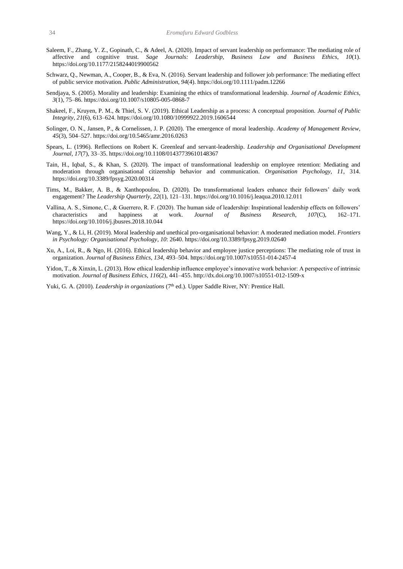- Saleem, F., Zhang, Y. Z., Gopinath, C., & Adeel, A. (2020). Impact of servant leadership on performance: The mediating role of affective and cognitive trust. *Sage Journals: Leadership, Business Law and Business Ethics*, *10*(1). [https://doi.org/10.1177/2158244019900562](https://doi.org/10.1177%2F2158244019900562)
- Schwarz, Q., Newman, A., Cooper, B., & Eva, N. (2016). Servant leadership and follower job performance: The mediating effect of public service motivation. *Public Administration, 94*(4). <https://doi.org/10.1111/padm.12266>
- Sendjaya, S. (2005). Morality and leadership: Examining the ethics of transformational leadership. *Journal of Academic Ethics*, *3*(1), 75–86[. https://doi.org/10.1007/s10805-005-0868-7](https://doi.org/10.1007/s10805-005-0868-7)
- Shakeel, F., Kruyen, P. M., & Thiel, S. V. (2019). Ethical Leadership as a process: A conceptual proposition. *Journal of Public Integrity, 21*(6), 613–624. <https://doi.org/10.1080/10999922.2019.1606544>
- Solinger, O. N., Jansen, P., & Cornelissen, J. P. (2020). The emergence of moral leadership. *Academy of Management Review*, *45*(3), 504–527. <https://doi.org/10.5465/amr.2016.0263>
- Spears, L. (1996). Reflections on Robert K. Greenleaf and servant-leadership. *Leadership and Organisational Development Journal, 17*(7), 33–35[. https://doi.org/10.1108/01437739610148367](https://doi.org/10.1108/01437739610148367)
- Tain, H., IqbaI, S., & Khan, S. (2020). The impact of transformational leadership on employee retention: Mediating and moderation through organisational citizenship behavior and communication. *Organisation Psychology*, *11*, 314. <https://doi.org/10.3389/fpsyg.2020.00314>
- Tims, M., Bakker, A. B., & Xanthopoulou, D. (2020). Do transformational leaders enhance their followers' daily work engagement? The *Leadership Quarterly*, *22*(1), 121–131. <https://doi.org/10.1016/j.leaqua.2010.12.011>
- Vallina, A. S., Simone, C., & Guerrero, R. F. (2020). The human side of leadership: Inspirational leadership effects on followers' characteristics and happiness at work. *Journal of Business Research*, *107*(C), 162–171. https://doi.org/10.1016/j.jbusres.2018.10.044
- Wang, Y., & Li, H. (2019). Moral leadership and unethical pro-organisational behavior: A moderated mediation model. *Frontiers in Psychology: Organisational Psychology*, *10*: 2640[. https://doi.org/10.3389/fpsyg.2019.02640](https://doi.org/10.3389/fpsyg.2019.02640)
- Xu, A., Loi, R., & Ngo, H. (2016). Ethical leadership behavior and employee justice perceptions: The mediating role of trust in organization. *Journal of Business Ethics*, *134*, 493–504[. https://doi.org/10.1007/s10551-014-2457-4](https://doi.org/10.1007/s10551-014-2457-4)
- Yidon, T., & Xinxin, L. (2013). How ethical leadership influence employee's innovative work behavior: A perspective of intrinsic motivation. *Journal of Business Ethics*, *116*(2), 441–455. <http://dx.doi.org/10.1007/s10551-012-1509-x>

Yuki, G. A. (2010). *Leadership in organizations* (7<sup>th</sup> ed.). Upper Saddle River, NY: Prentice Hall.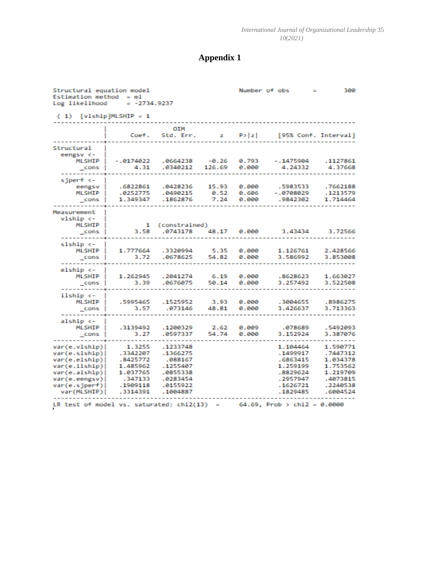# **Appendix 1**

| Structural equation model<br>Estimation method = $ml$<br>Log likelihood                                                              | $= -2734.9237$                                                                            |                                                                                             |                       |                         | Number of obs                                                                                | 380                                                                                          |
|--------------------------------------------------------------------------------------------------------------------------------------|-------------------------------------------------------------------------------------------|---------------------------------------------------------------------------------------------|-----------------------|-------------------------|----------------------------------------------------------------------------------------------|----------------------------------------------------------------------------------------------|
| $(1)$ [vlship]MLSHIP = 1                                                                                                             |                                                                                           |                                                                                             |                       |                         |                                                                                              |                                                                                              |
|                                                                                                                                      | Coef.                                                                                     | OIM<br>Std. Err.                                                                            |                       | $z = P >  z $           | [95% Conf. Interval]                                                                         |                                                                                              |
| Structural<br>eengsv <-<br><b>MLSHIP</b><br>cons                                                                                     | $-.0174022$<br>4.31                                                                       | .0664238<br>.0340212                                                                        | $-0.26$<br>126.69     | 0.793<br>0.000          | $-.1475904$<br>4.24332                                                                       | .1127861<br>4.37668                                                                          |
| sjperf <-<br>eengsv<br><b>MLSHIP</b><br>cons                                                                                         | .6822861<br>.0252775<br>1.349347                                                          | .0428236<br>.0490215<br>.1862876                                                            | 15.93<br>0.52<br>7.24 | 0.000<br>0.606<br>e.eee | .5983533<br>$-.0708029$<br>.9842302                                                          | .7662188<br>.1213579<br>1.714464                                                             |
| Measurement<br>vlship <-<br><b>MLSHIP</b><br>cons                                                                                    | $\mathbf{1}$<br>3.58                                                                      | (constrained)<br>.0743178                                                                   | 48.17                 | 0.000                   | 3.43434                                                                                      | 3.72566                                                                                      |
| slship <-<br><b>MLSHIP</b><br>$\_cons$                                                                                               | 1.777664<br>3.72                                                                          | .3320994<br>.0678625                                                                        | 5.35<br>54.82         | 0.000<br>0.000          | 1.126761<br>3.586992                                                                         | 2.428566<br>3.853008                                                                         |
| elship <-<br><b>MLSHIP</b><br>$_{\text{-cons}}$                                                                                      | 1.262945<br>3.39                                                                          | .2041274<br>.0676075                                                                        | 6.19<br>50.14         | 0.000<br>0.000          | .8628623<br>3.257492                                                                         | 1.663027<br>3.522508                                                                         |
| ilship <-<br><b>MLSHIP</b><br>cons                                                                                                   | .5995465<br>3.57                                                                          | .1525952<br>.073146                                                                         | 3.93<br>48.81         | 0.000<br>e.eee          | .3004655<br>3.426637                                                                         | .8986275<br>3.713363                                                                         |
| alship <-<br><b>MLSHIP</b><br>cons                                                                                                   | .3139492<br>3.27                                                                          | .1200329<br>.0597337                                                                        | 2.62<br>54.74         | 0.009<br>0.000          | .078689<br>3.152924                                                                          | .5492093<br>3.387076                                                                         |
| var(e.vlship) <br>var(e.slship) <br>var(e.elship)<br>var(e.ilship)<br>var(e.alship)<br>var(e.eengsv)<br>var(e.sjperf)<br>var(MLSHIP) | 1.3255<br>.3342207<br>.8425772<br>1.485962<br>1.037765<br>.347133<br>.1909118<br>.3314391 | .1233748<br>.1366275<br>.088167<br>.1255407<br>.0855338<br>.0283454<br>.0155922<br>.1004887 |                       |                         | 1.104464<br>.1499917<br>.6863415<br>1.259199<br>.8829624<br>.2957947<br>.1626721<br>.1829485 | 1.590771<br>.7447312<br>1.034378<br>1.753562<br>1.219709<br>.4073815<br>.2240538<br>.6004524 |
|                                                                                                                                      |                                                                                           |                                                                                             |                       |                         | LR test of model vs. saturated: chi2(13) = $64.69$ , Prob > chi2 = 0.0000                    |                                                                                              |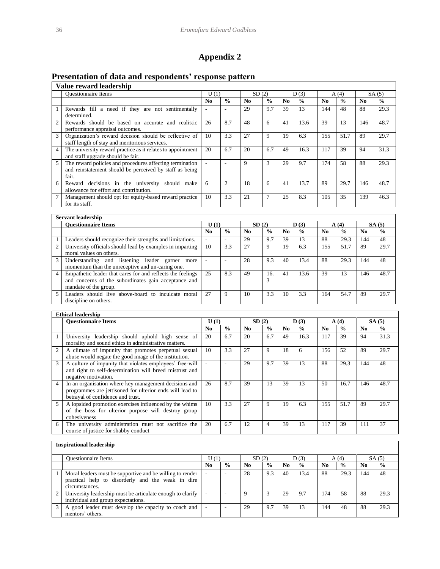# **Appendix 2**

# **Presentation of data and respondents' response pattern**

|                | Value reward leadership                                                                                                      |                |                |                |               |                |                    |                |                   |             |               |  |  |  |
|----------------|------------------------------------------------------------------------------------------------------------------------------|----------------|----------------|----------------|---------------|----------------|--------------------|----------------|-------------------|-------------|---------------|--|--|--|
|                | <b>Ouestionnaire Items</b>                                                                                                   | U(1)           |                |                | SD(2)         |                | D(3)               |                | A(4)              |             | SA(5)         |  |  |  |
|                |                                                                                                                              | N <sub>0</sub> | $\frac{0}{0}$  | N <sub>0</sub> | $\frac{0}{0}$ | N <sub>0</sub> | $\frac{0}{0}$      | N <sub>0</sub> | $\frac{0}{0}$     | No.         | $\frac{0}{0}$ |  |  |  |
|                | Rewards fill a need if they are not sentimentally<br>determined.                                                             |                |                | 29             | 9.7           | 39             | 13                 | 144            | 48                | 88          | 29.3          |  |  |  |
| $\mathfrak{D}$ | Rewards should be based on accurate and realistic<br>performance appraisal outcomes.                                         | 26             | 8.7            | 48             | 6             | 41             | 13.6               | 39             | 13                | 146         | 48.7          |  |  |  |
| 3              | Organization's reward decision should be reflective of<br>staff length of stay and meritorious services.                     | 10             | 3.3            | 27             | 9             | 19             | 6.3                | 155            | 51.7              | 89          | 29.7          |  |  |  |
| $\overline{4}$ | The university reward practice as it relates to appointment<br>and staff upgrade should be fair.                             | 20             | 6.7            | 20             | 6.7           | 49             | 16.3               | 117            | 39                | 94          | 31.3          |  |  |  |
| 5              | The reward policies and procedures affecting termination<br>and reinstatement should be perceived by staff as being<br>fair. |                |                | 9              | 3             | 29             | 9.7                | 174            | 58                | 88          | 29.3          |  |  |  |
| 6              | decisions in the university<br>should<br>Reward<br>make<br>allowance for effort and contribution.                            | 6              | $\overline{c}$ | 18             | 6             | 41             | 13.7               | 89             | 29.7              | 146         | 48.7          |  |  |  |
| 7              | Management should opt for equity-based reward practice<br>for its staff.                                                     | 10             | 3.3            | 21             | $\tau$        | 25             | 8.3                | 105            | 35                | 139         | 46.3          |  |  |  |
|                |                                                                                                                              |                |                |                |               |                |                    |                |                   |             |               |  |  |  |
|                | <b>Servant leadership</b>                                                                                                    |                |                |                |               |                |                    |                |                   |             |               |  |  |  |
|                | Ougotianualus Itama                                                                                                          |                | TT(1)          | CD(2)          |               |                | $\mathbf{D}$ $(2)$ |                | $\triangle$ $(A)$ | $C$ A $(E)$ |               |  |  |  |

| <b>Ouestionnaire Items</b>                                                                                                                  | U(1)           |               |                        | SD(2)         |                | D(3)          |     | A(4)          |                | SA(5)         |  |  |  |
|---------------------------------------------------------------------------------------------------------------------------------------------|----------------|---------------|------------------------|---------------|----------------|---------------|-----|---------------|----------------|---------------|--|--|--|
|                                                                                                                                             | N <sub>0</sub> | $\frac{6}{9}$ | $\mathbf{N}\mathbf{0}$ | $\frac{0}{0}$ | N <sub>0</sub> | $\frac{0}{0}$ | No. | $\frac{0}{0}$ | N <sub>0</sub> | $\frac{0}{0}$ |  |  |  |
| Leaders should recognize their strengths and limitations.                                                                                   |                |               | 29                     | 9.7           | 39             | -13           | 88  | 29.3          | 144            | 48            |  |  |  |
| University officials should lead by examples in imparting<br>moral values on others.                                                        | 10             | 3.3           | 27                     | 9             | 19             | 6.3           | 155 | 51.7          | 89             | 29.7          |  |  |  |
| Understanding and listening leader garner<br>more<br>momentum than the unreceptive and un-caring one.                                       |                |               | 28                     | 9.3           | 40             | 13.4          | 88  | 29.3          | 144            | 48            |  |  |  |
| Empathetic leader that cares for and reflects the feelings<br>and concerns of the subordinates gain acceptance and<br>mandate of the group. | 25             | 8.3           | 49                     | 16.<br>3      | -41            | 13.6          | 39  | 13            | 146            | 48.7          |  |  |  |
| Leaders should live above-board to inculcate moral<br>discipline on others.                                                                 | 27             | 9             | 10                     | 3.3           | 10             | 3.3           | 164 | 54.7          | 89             | 29.7          |  |  |  |

|                          | <b>Ethical leadership</b>                                                                                                                              |      |               |                |               |                 |               |                |               |                |               |  |  |
|--------------------------|--------------------------------------------------------------------------------------------------------------------------------------------------------|------|---------------|----------------|---------------|-----------------|---------------|----------------|---------------|----------------|---------------|--|--|
|                          | <b>Ouestionnaire Items</b>                                                                                                                             | U(1) |               | SD(2)          |               | $\mathbf{D}(3)$ |               |                | A(4)          |                | SA(5)         |  |  |
|                          |                                                                                                                                                        | No.  | $\frac{0}{0}$ | N <sub>0</sub> | $\frac{0}{0}$ | N <sub>0</sub>  | $\frac{0}{0}$ | N <sub>0</sub> | $\frac{0}{0}$ | N <sub>0</sub> | $\frac{0}{0}$ |  |  |
|                          | University leadership should uphold high sense of<br>morality and sound ethics in administrative matters.                                              | 20   | 6.7           | 20             | 6.7           | 49              | 16.3          | 117            | 39            | 94             | 31.3          |  |  |
| 2                        | A climate of impunity that promotes perpetual sexual<br>abuse would negate the good image of the institution.                                          | 10   | 3.3           | 27             | 9             | 18              | 6             | 156            | 52            | 89             | 29.7          |  |  |
| 3                        | A culture of impunity that violates employees' free-will<br>and right to self-determination will breed mistrust and<br>negative motivation.            | ٠    | ۰             | 29             | 9.7           | 39              | 13            | 88             | 29.3          | 144            | 48            |  |  |
| $\overline{\mathcal{L}}$ | In an organisation where key management decisions and<br>programmes are jettisoned for ulterior ends will lead to<br>betrayal of confidence and trust. | 26   | 8.7           | 39             | 13            | 39              | 13            | 50             | 16.7          | 146            | 48.7          |  |  |
| 5                        | A lopsided promotion exercises influenced by the whims<br>of the boss for ulterior purpose will destroy group<br>cohesiveness                          | 10   | 3.3           | 27             | 9             | 19              | 6.3           | 155            | 51.7          | 89             | 29.7          |  |  |
| 6                        | The university administration must not sacrifice the<br>course of justice for shabby conduct                                                           | 20   | 6.7           | 12             | 4             | 39              | 13            | 117            | 39            | 111            | 37            |  |  |

#### **Inspirational leadership**

| <b>Ouestionnaire Items</b>                                                                                                       | U (1)          |                          | SD(2)          |               | D(3)           |               | A(4)           |               |                | SA(5)         |
|----------------------------------------------------------------------------------------------------------------------------------|----------------|--------------------------|----------------|---------------|----------------|---------------|----------------|---------------|----------------|---------------|
|                                                                                                                                  | N <sub>0</sub> | $\frac{0}{0}$            | N <sub>0</sub> | $\frac{0}{0}$ | N <sub>0</sub> | $\frac{0}{0}$ | N <sub>0</sub> | $\frac{0}{0}$ | N <sub>0</sub> | $\frac{0}{0}$ |
| Moral leaders must be supportive and be willing to render<br>practical help to disorderly and the weak in dire<br>circumstances. |                | ۰                        | 28             | 9.3           | 40             | 13.4          | 88             | 29.3          | 144            | 48            |
| University leadership must be articulate enough to clarify<br>individual and group expectations.                                 |                | $\overline{\phantom{a}}$ |                |               | 29             | 9.7           | 74             | 58            | 88             | 29.3          |
| A good leader must develop the capacity to coach and<br>mentors' others.                                                         |                | -                        | 29             | 9.7           | 39             | 13            | 44             | 48            | 88             | 29.3          |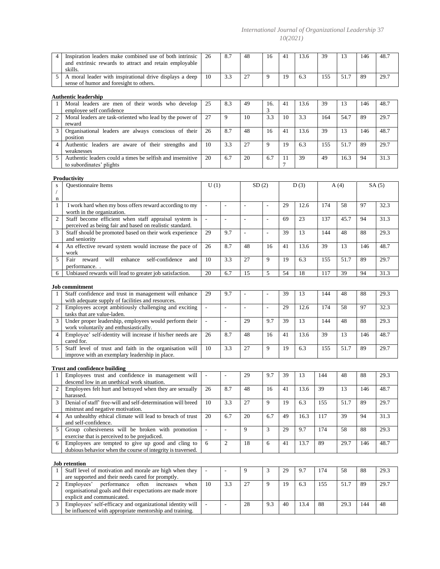#### *International Journal of Organizational Leadership* 37 *10(2021)*

| $\overline{4}$              | Inspiration leaders make combined use of both intrinsic<br>and extrinsic rewards to attract and retain employable<br>skills.                    | 26                       | 8.7                      | 48                       | 16                       | 41      | 13.6 | 39  | 13   | 146 | 48.7  |
|-----------------------------|-------------------------------------------------------------------------------------------------------------------------------------------------|--------------------------|--------------------------|--------------------------|--------------------------|---------|------|-----|------|-----|-------|
| 5                           | A moral leader with inspirational drive displays a deep<br>sense of humor and foresight to others.                                              | 10                       | 3.3                      | 27                       | 9                        | 19      | 6.3  | 155 | 51.7 | 89  | 29.7  |
|                             | <b>Authentic leadership</b>                                                                                                                     |                          |                          |                          |                          |         |      |     |      |     |       |
| 1                           | Moral leaders are men of their words who develop<br>employee self confidence                                                                    | 25                       | 8.3                      | 49                       | 16.<br>3                 | 41      | 13.6 | 39  | 13   | 146 | 48.7  |
| $\overline{c}$              | Moral leaders are task-oriented who lead by the power of<br>reward                                                                              | 27                       | 9                        | 10                       | 3.3                      | 10      | 3.3  | 164 | 54.7 | 89  | 29.7  |
| 3                           | Organisational leaders are always conscious of their<br>position                                                                                | 26                       | 8.7                      | 48                       | 16                       | 41      | 13.6 | 39  | 13   | 146 | 48.7  |
| $\overline{4}$              | Authentic leaders are aware of their strengths and<br>weaknesses                                                                                | 10                       | 3.3                      | 27                       | 9                        | 19      | 6.3  | 155 | 51.7 | 89  | 29.7  |
| 5                           | Authentic leaders could a times be selfish and insensitive<br>to subordinates' plights                                                          | 20                       | 6.7                      | 20                       | 6.7                      | 11<br>7 | 39   | 49  | 16.3 | 94  | 31.3  |
|                             | <b>Productivity</b>                                                                                                                             |                          |                          |                          |                          |         |      |     |      |     |       |
| ${\bf S}$<br>$\sqrt{2}$     | Questionnaire Items                                                                                                                             | U(1)                     |                          | SD(2)                    |                          |         | D(3) |     | A(4) |     | SA(5) |
| $\mathbf n$<br>$\mathbf{1}$ | I work hard when my boss offers reward according to my<br>worth in the organization.                                                            | $\Box$                   | $\overline{\phantom{a}}$ | $\overline{a}$           | $\overline{\phantom{a}}$ | 29      | 12.6 | 174 | 58   | 97  | 32.3  |
| $\overline{c}$              | Staff become efficient when staff appraisal system is<br>perceived as being fair and based on realistic standard.                               | L.                       | $\overline{\phantom{a}}$ | ÷,                       | $\overline{a}$           | 69      | 23   | 137 | 45.7 | 94  | 31.3  |
| 3                           | Staff should be promoted based on their work experience<br>and seniority                                                                        | 29                       | 9.7                      | $\overline{\phantom{a}}$ | $\overline{\phantom{a}}$ | 39      | 13   | 144 | 48   | 88  | 29.3  |
| $\overline{4}$              | An effective reward system would increase the pace of<br>work                                                                                   | 26                       | 8.7                      | 48                       | 16                       | 41      | 13.6 | 39  | 13   | 146 | 48.7  |
| 5                           | will<br>self-confidence<br>Fair<br>reward<br>enhance<br>and<br>performance.                                                                     | 10                       | 3.3                      | 27                       | 9                        | 19      | 6.3  | 155 | 51.7 | 89  | 29.7  |
| 6                           | Unbiased rewards will lead to greater job satisfaction.                                                                                         | 20                       | 6.7                      | 15                       | 5                        | 54      | 18   | 117 | 39   | 94  | 31.3  |
|                             | <b>Job commitment</b>                                                                                                                           |                          |                          |                          |                          |         |      |     |      |     |       |
| 1                           | Staff confidence and trust in management will enhance<br>with adequate supply of facilities and resources.                                      | 29                       | 9.7                      | $\overline{\phantom{a}}$ | $\Box$                   | 39      | 13   | 144 | 48   | 88  | 29.3  |
| $\sqrt{2}$                  | Employees accept ambitiously challenging and exciting<br>tasks that are value-laden.                                                            | $\overline{\phantom{a}}$ | $\bar{\phantom{a}}$      | $\overline{\phantom{a}}$ | $\overline{\phantom{a}}$ | 29      | 12.6 | 174 | 58   | 97  | 32.3  |
| 3                           | Under proper leadership, employees would perform their<br>work voluntarily and enthusiastically.                                                | $\Box$                   | $\overline{\phantom{a}}$ | 29                       | 9.7                      | 39      | 13   | 144 | 48   | 88  | 29.3  |
| $\overline{4}$              | Employee' self-identity will increase if his/her needs are<br>cared for.                                                                        | 26                       | 8.7                      | 48                       | 16                       | 41      | 13.6 | 39  | 13   | 146 | 48.7  |
| 5                           | Staff level of trust and faith in the organisation will<br>improve with an exemplary leadership in place.                                       | 10                       | 3.3                      | 27                       | 9                        | 19      | 6.3  | 155 | 51.7 | 89  | 29.7  |
|                             | <b>Trust and confidence building</b>                                                                                                            |                          |                          |                          |                          |         |      |     |      |     |       |
| 1                           | Employees trust and confidence in management will<br>descend low in an unethical work situation.                                                | $\blacksquare$           | $\overline{\phantom{a}}$ | 29                       | 9.7                      | 39      | 13   | 144 | 48   | 88  | 29.3  |
| $\overline{c}$              | Employees felt hurt and betrayed when they are sexually<br>harassed.                                                                            | 26                       | 8.7                      | 48                       | 16                       | 41      | 13.6 | 39  | 13   | 146 | 48.7  |
| 3                           | Denial of staff' free-will and self-determination will breed<br>mistrust and negative motivation.                                               | 10                       | 3.3                      | 27                       | 9                        | 19      | 6.3  | 155 | 51.7 | 89  | 29.7  |
| $\overline{4}$              | An unhealthy ethical climate will lead to breach of trust<br>and self-confidence.                                                               | 20                       | 6.7                      | 20                       | 6.7                      | 49      | 16.3 | 117 | 39   | 94  | 31.3  |
| 5                           | Group cohesiveness will be broken with promotion<br>exercise that is perceived to be prejudiced.                                                | L.                       | $\overline{a}$           | 9                        | 3                        | 29      | 9.7  | 174 | 58   | 88  | 29.3  |
| 6                           | Employees are tempted to give up good and cling to<br>dubious behavior when the course of integrity is traversed.                               | 6                        | 2                        | 18                       | 6                        | 41      | 13.7 | 89  | 29.7 | 146 | 48.7  |
|                             | <b>Job</b> retention                                                                                                                            |                          |                          |                          |                          |         |      |     |      |     |       |
| 1                           | Staff level of motivation and morale are high when they<br>are supported and their needs cared for promptly.                                    | $\Box$                   | $\overline{\phantom{a}}$ | 9                        | 3                        | 29      | 9.7  | 174 | 58   | 88  | 29.3  |
| $\overline{c}$              | performance<br>Employees'<br>often increases<br>when<br>organisational goals and their expectations are made more<br>explicit and communicated. | 10                       | 3.3                      | 27                       | 9                        | 19      | 6.3  | 155 | 51.7 | 89  | 29.7  |
| 3                           | Employees' self-efficacy and organizational identity will<br>be influenced with appropriate mentorship and training.                            | $\overline{\phantom{a}}$ | $\overline{\phantom{a}}$ | 28                       | 9.3                      | 40      | 13.4 | 88  | 29.3 | 144 | 48    |